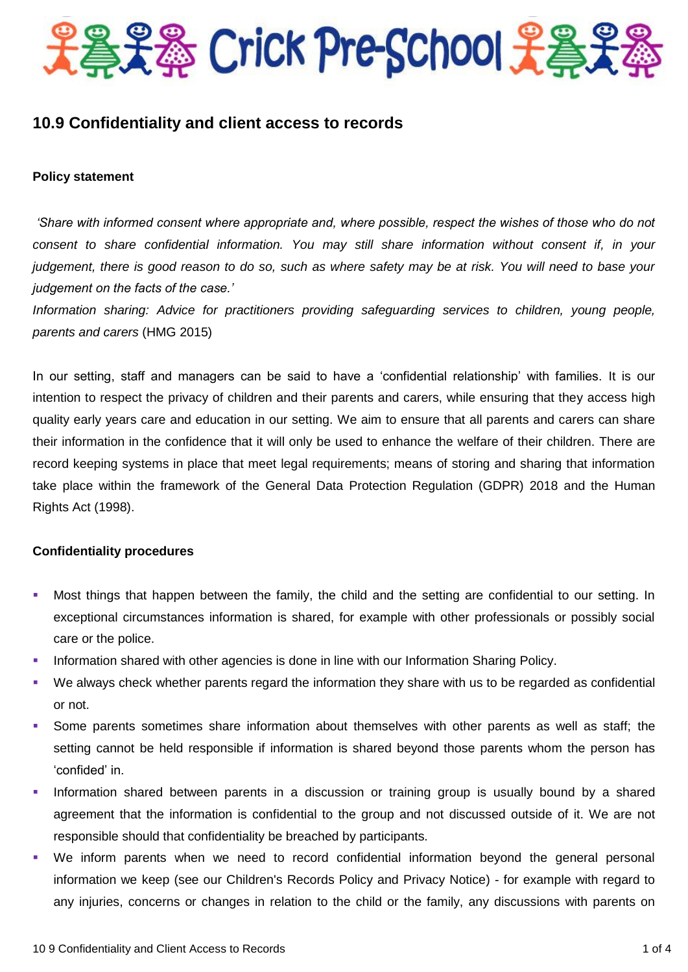

# **10.9 Confidentiality and client access to records**

#### **Policy statement**

*'Share with informed consent where appropriate and, where possible, respect the wishes of those who do not consent to share confidential information. You may still share information without consent if, in your judgement, there is good reason to do so, such as where safety may be at risk. You will need to base your judgement on the facts of the case.'*

*Information sharing: Advice for practitioners providing safeguarding services to children, young people, parents and carers* (HMG 2015)

In our setting, staff and managers can be said to have a 'confidential relationship' with families. It is our intention to respect the privacy of children and their parents and carers, while ensuring that they access high quality early years care and education in our setting. We aim to ensure that all parents and carers can share their information in the confidence that it will only be used to enhance the welfare of their children. There are record keeping systems in place that meet legal requirements; means of storing and sharing that information take place within the framework of the General Data Protection Regulation (GDPR) 2018 and the Human Rights Act (1998).

#### **Confidentiality procedures**

- Most things that happen between the family, the child and the setting are confidential to our setting. In exceptional circumstances information is shared, for example with other professionals or possibly social care or the police.
- Information shared with other agencies is done in line with our Information Sharing Policy.
- We always check whether parents regard the information they share with us to be regarded as confidential or not.
- Some parents sometimes share information about themselves with other parents as well as staff; the setting cannot be held responsible if information is shared beyond those parents whom the person has 'confided' in.
- Information shared between parents in a discussion or training group is usually bound by a shared agreement that the information is confidential to the group and not discussed outside of it. We are not responsible should that confidentiality be breached by participants.
- We inform parents when we need to record confidential information beyond the general personal information we keep (see our Children's Records Policy and Privacy Notice) - for example with regard to any injuries, concerns or changes in relation to the child or the family, any discussions with parents on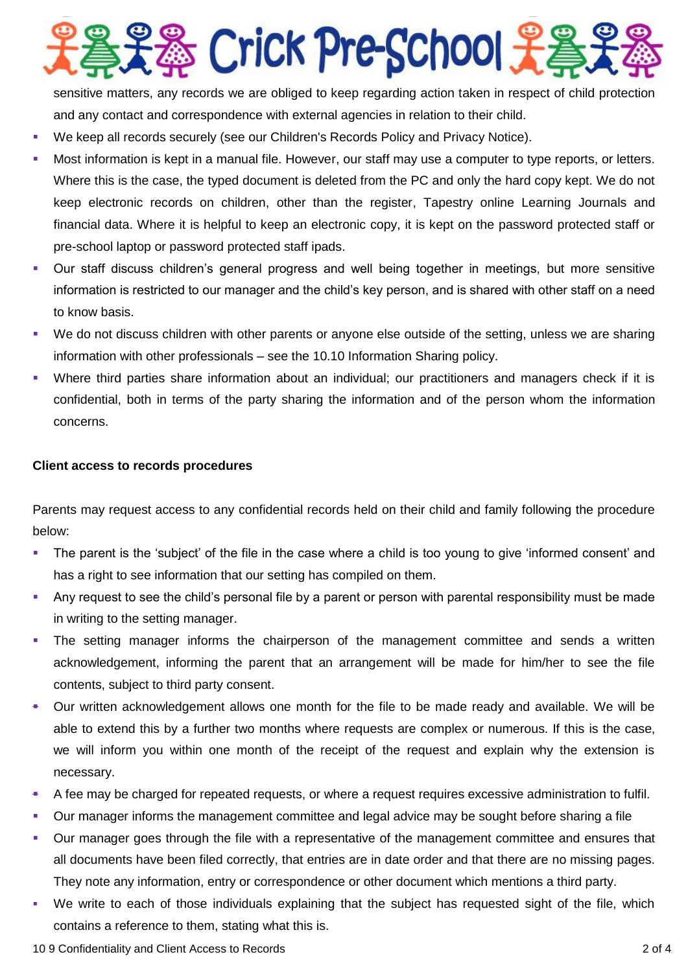

sensitive matters, any records we are obliged to keep regarding action taken in respect of child protection and any contact and correspondence with external agencies in relation to their child.

- We keep all records securely (see our Children's Records Policy and Privacy Notice).
- Most information is kept in a manual file. However, our staff may use a computer to type reports, or letters. Where this is the case, the typed document is deleted from the PC and only the hard copy kept. We do not keep electronic records on children, other than the register, Tapestry online Learning Journals and financial data. Where it is helpful to keep an electronic copy, it is kept on the password protected staff or pre-school laptop or password protected staff ipads.
- Our staff discuss children's general progress and well being together in meetings, but more sensitive information is restricted to our manager and the child's key person, and is shared with other staff on a need to know basis.
- We do not discuss children with other parents or anyone else outside of the setting, unless we are sharing information with other professionals – see the 10.10 Information Sharing policy.
- Where third parties share information about an individual; our practitioners and managers check if it is confidential, both in terms of the party sharing the information and of the person whom the information concerns.

### **Client access to records procedures**

Parents may request access to any confidential records held on their child and family following the procedure below:

- The parent is the 'subject' of the file in the case where a child is too young to give 'informed consent' and has a right to see information that our setting has compiled on them.
- Any request to see the child's personal file by a parent or person with parental responsibility must be made in writing to the setting manager.
- The setting manager informs the chairperson of the management committee and sends a written acknowledgement, informing the parent that an arrangement will be made for him/her to see the file contents, subject to third party consent.
- Our written acknowledgement allows one month for the file to be made ready and available. We will be able to extend this by a further two months where requests are complex or numerous. If this is the case, we will inform you within one month of the receipt of the request and explain why the extension is necessary.
- A fee may be charged for repeated requests, or where a request requires excessive administration to fulfil.
- Our manager informs the management committee and legal advice may be sought before sharing a file
- Our manager goes through the file with a representative of the management committee and ensures that all documents have been filed correctly, that entries are in date order and that there are no missing pages. They note any information, entry or correspondence or other document which mentions a third party.
- We write to each of those individuals explaining that the subject has requested sight of the file, which contains a reference to them, stating what this is.

10 9 Confidentiality and Client Access to Records 2 of 4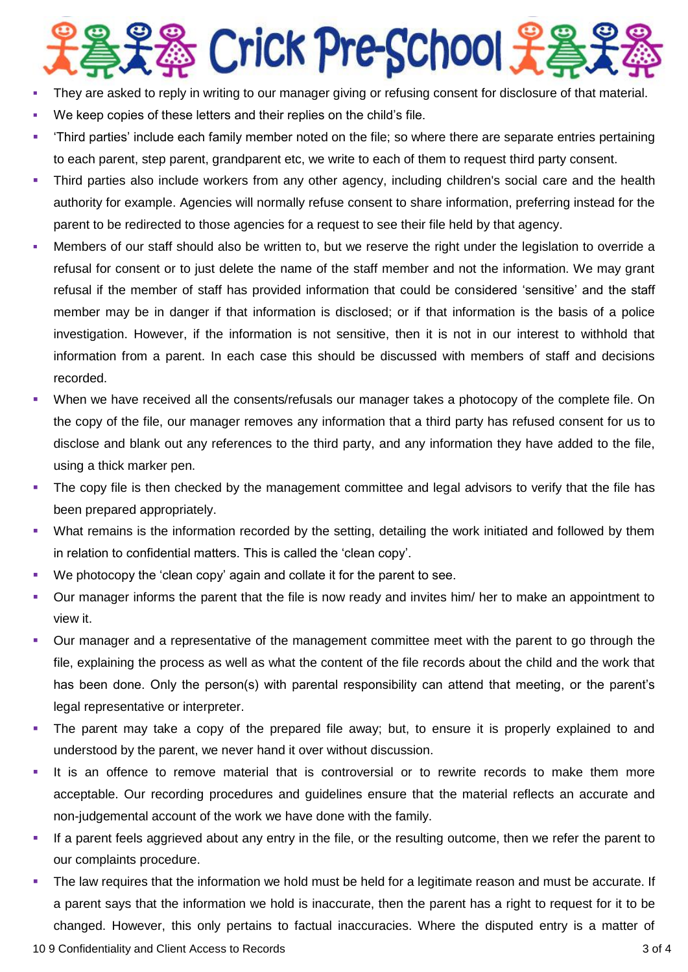# ※ Crick Pre-School 先

- They are asked to reply in writing to our manager giving or refusing consent for disclosure of that material.
- We keep copies of these letters and their replies on the child's file.
- 'Third parties' include each family member noted on the file; so where there are separate entries pertaining to each parent, step parent, grandparent etc, we write to each of them to request third party consent.
- Third parties also include workers from any other agency, including children's social care and the health authority for example. Agencies will normally refuse consent to share information, preferring instead for the parent to be redirected to those agencies for a request to see their file held by that agency.
- Members of our staff should also be written to, but we reserve the right under the legislation to override a refusal for consent or to just delete the name of the staff member and not the information. We may grant refusal if the member of staff has provided information that could be considered 'sensitive' and the staff member may be in danger if that information is disclosed; or if that information is the basis of a police investigation. However, if the information is not sensitive, then it is not in our interest to withhold that information from a parent. In each case this should be discussed with members of staff and decisions recorded.
- When we have received all the consents/refusals our manager takes a photocopy of the complete file. On the copy of the file, our manager removes any information that a third party has refused consent for us to disclose and blank out any references to the third party, and any information they have added to the file, using a thick marker pen.
- The copy file is then checked by the management committee and legal advisors to verify that the file has been prepared appropriately.
- What remains is the information recorded by the setting, detailing the work initiated and followed by them in relation to confidential matters. This is called the 'clean copy'.
- We photocopy the 'clean copy' again and collate it for the parent to see.
- Our manager informs the parent that the file is now ready and invites him/ her to make an appointment to view it.
- Our manager and a representative of the management committee meet with the parent to go through the file, explaining the process as well as what the content of the file records about the child and the work that has been done. Only the person(s) with parental responsibility can attend that meeting, or the parent's legal representative or interpreter.
- The parent may take a copy of the prepared file away; but, to ensure it is properly explained to and understood by the parent, we never hand it over without discussion.
- It is an offence to remove material that is controversial or to rewrite records to make them more acceptable. Our recording procedures and guidelines ensure that the material reflects an accurate and non-judgemental account of the work we have done with the family.
- If a parent feels aggrieved about any entry in the file, or the resulting outcome, then we refer the parent to our complaints procedure.
- The law requires that the information we hold must be held for a legitimate reason and must be accurate. If a parent says that the information we hold is inaccurate, then the parent has a right to request for it to be changed. However, this only pertains to factual inaccuracies. Where the disputed entry is a matter of

10 9 Confidentiality and Client Access to Records 3 of 4 of 4 of 4 of 5 of 4 of 4 of 5 of 4 of 5 of 4 of 5 of 4